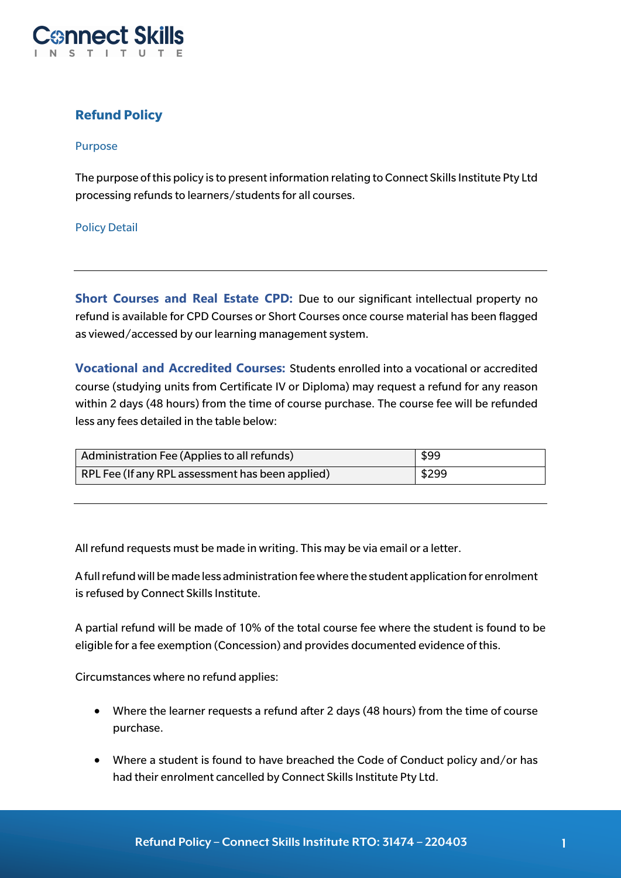

# **Refund Policy**

### Purpose

The purpose of this policy is to present information relating to Connect Skills Institute Pty Ltd processing refunds to learners/students for all courses.

### Policy Detail

**Short Courses and Real Estate CPD:** Due to our significant intellectual property no refund is available for CPD Courses or Short Courses once course material has been flagged as viewed/accessed by our learning management system.

**Vocational and Accredited Courses:** Students enrolled into a vocational or accredited course (studying units from Certificate IV or Diploma) may request a refund for any reason within 2 days (48 hours) from the time of course purchase. The course fee will be refunded less any fees detailed in the table below:

| Administration Fee (Applies to all refunds)      | \$99  |
|--------------------------------------------------|-------|
| RPL Fee (If any RPL assessment has been applied) | \$299 |

All refund requests must be made in writing. This may be via email or a letter.

A full refund will be made less administration fee where the student application for enrolment is refused by Connect Skills Institute.

A partial refund will be made of 10% of the total course fee where the student is found to be eligible for a fee exemption (Concession) and provides documented evidence of this.

Circumstances where no refund applies:

- Where the learner requests a refund after 2 days (48 hours) from the time of course purchase.
- Where a student is found to have breached the Code of Conduct policy and/or has had their enrolment cancelled by Connect Skills Institute Pty Ltd.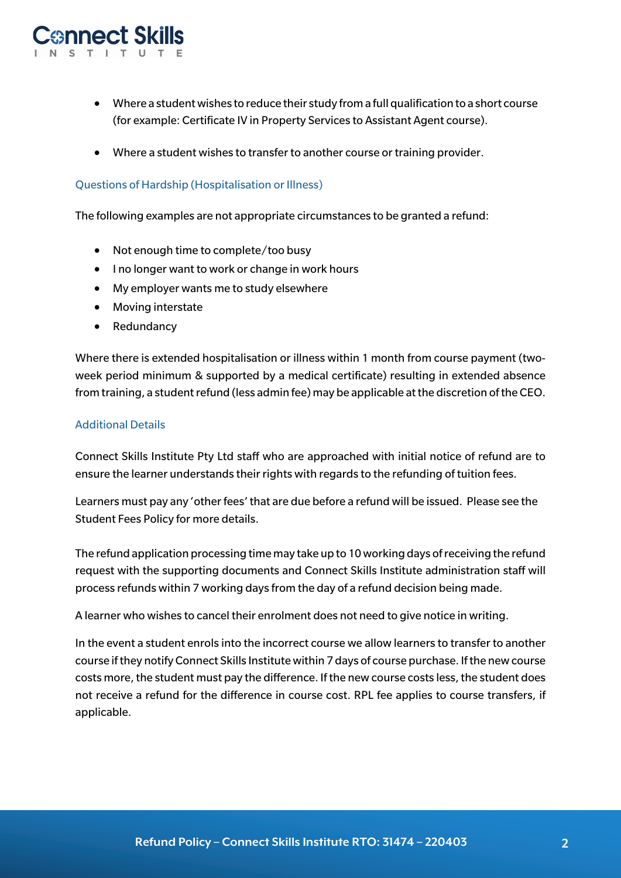

- Where a student wishes to reduce their study from a full qualification to a short course (for example: Certificate IV in Property Services to Assistant Agent course).
- Where a student wishes to transfer to another course or training provider.

## Questions of Hardship (Hospitalisation or Illness)

The following examples are not appropriate circumstances to be granted a refund:

- Not enough time to complete/too busy
- I no longer want to work or change in work hours
- My employer wants me to study elsewhere
- Moving interstate
- Redundancy

Where there is extended hospitalisation or illness within 1 month from course payment (twoweek period minimum & supported by a medical certificate) resulting in extended absence from training, a student refund (less admin fee) may be applicable at the discretion of the CEO.

## Additional Details

Connect Skills Institute Pty Ltd staff who are approached with initial notice of refund are to ensure the learner understands their rights with regards to the refunding of tuition fees.

Learners must pay any 'other fees' that are due before a refund will be issued. Please see the Student Fees Policy for more details.

The refund application processing time may take up to 10 working days of receiving the refund request with the supporting documents and Connect Skills Institute administration staff will process refunds within 7 working days from the day of a refund decision being made.

A learner who wishes to cancel their enrolment does not need to give notice in writing.

In the event a student enrols into the incorrect course we allow learners to transfer to another course if they notify Connect Skills Institute within 7 days of course purchase. If the new course costs more, the student must pay the difference. If the new course costs less, the student does not receive a refund for the difference in course cost. RPL fee applies to course transfers, if applicable.